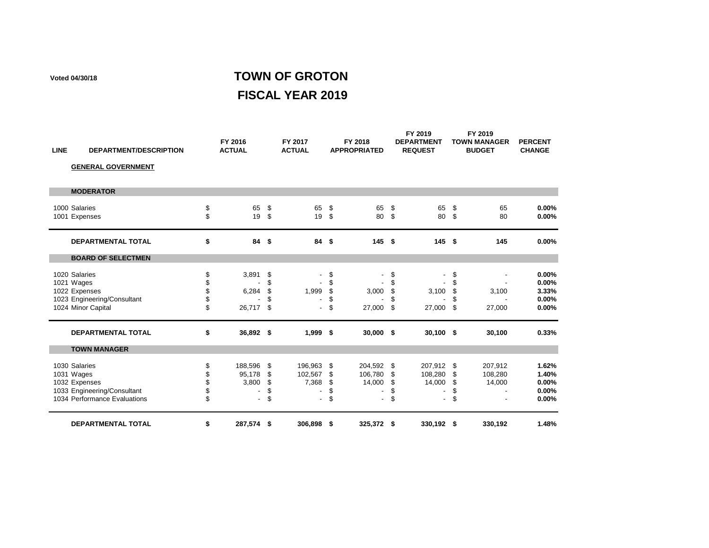## **Voted 04/30/18 TOWN OF GROTON FISCAL YEAR 2019**

| <b>LINE</b> | <b>DEPARTMENT/DESCRIPTION</b>                                                                               |                            | FY 2016<br><b>ACTUAL</b>                               |                            | FY 2017<br><b>ACTUAL</b>                      |                            | FY 2018<br><b>APPROPRIATED</b> |                             | FY 2019<br><b>DEPARTMENT</b><br><b>REQUEST</b> |                               | FY 2019<br><b>TOWN MANAGER</b><br><b>BUDGET</b> | <b>PERCENT</b><br><b>CHANGE</b>           |
|-------------|-------------------------------------------------------------------------------------------------------------|----------------------------|--------------------------------------------------------|----------------------------|-----------------------------------------------|----------------------------|--------------------------------|-----------------------------|------------------------------------------------|-------------------------------|-------------------------------------------------|-------------------------------------------|
|             | <b>GENERAL GOVERNMENT</b>                                                                                   |                            |                                                        |                            |                                               |                            |                                |                             |                                                |                               |                                                 |                                           |
|             | <b>MODERATOR</b>                                                                                            |                            |                                                        |                            |                                               |                            |                                |                             |                                                |                               |                                                 |                                           |
|             | 1000 Salaries<br>1001 Expenses                                                                              | \$<br>\$                   | 65<br>19                                               | \$<br>\$                   | 65<br>19                                      | \$<br>\$                   | 65<br>80                       | \$<br>\$                    | 65<br>80                                       | \$<br>\$                      | 65<br>80                                        | 0.00%<br>0.00%                            |
|             | <b>DEPARTMENTAL TOTAL</b>                                                                                   | \$                         | 84                                                     | \$                         | 84                                            | \$                         | 145S                           |                             | 145                                            | - \$                          | 145                                             | 0.00%                                     |
|             | <b>BOARD OF SELECTMEN</b>                                                                                   |                            |                                                        |                            |                                               |                            |                                |                             |                                                |                               |                                                 |                                           |
|             | 1020 Salaries<br>1021 Wages<br>1022 Expenses<br>1023 Engineering/Consultant<br>1024 Minor Capital           | \$<br>\$<br>\$<br>\$<br>\$ | 3,891<br>6,284<br>26,717                               | \$<br>\$<br>\$<br>\$<br>\$ | 1,999                                         | \$<br>\$<br>\$<br>\$<br>\$ | 3,000<br>27,000                | \$<br>\$<br>\$<br>\$<br>\$  | 3,100<br>27,000                                | \$<br>\$<br>\$<br>\$<br>\$    | 3,100<br>27,000                                 | 0.00%<br>0.00%<br>3.33%<br>0.00%<br>0.00% |
|             | <b>DEPARTMENTAL TOTAL</b>                                                                                   | \$                         | 36,892 \$                                              |                            | 1,999                                         | \$                         | 30,000 \$                      |                             | $30,100$ \$                                    |                               | 30,100                                          | 0.33%                                     |
|             | <b>TOWN MANAGER</b>                                                                                         |                            |                                                        |                            |                                               |                            |                                |                             |                                                |                               |                                                 |                                           |
|             | 1030 Salaries<br>1031 Wages<br>1032 Expenses<br>1033 Engineering/Consultant<br>1034 Performance Evaluations | \$<br>\$<br>\$<br>\$<br>\$ | 188,596<br>95,178<br>3,800<br>$\overline{\phantom{0}}$ | \$<br>\$<br>\$<br>\$<br>\$ | 196,963<br>102,567<br>7,368<br>$\blacksquare$ | \$<br>\$<br>\$<br>\$<br>\$ | 204,592<br>106,780<br>14,000   | -\$<br>\$<br>\$<br>\$<br>\$ | 207,912<br>108,280<br>14,000<br>$\blacksquare$ | - \$<br>-\$<br>\$<br>\$<br>\$ | 207,912<br>108,280<br>14,000                    | 1.62%<br>1.40%<br>0.00%<br>0.00%<br>0.00% |
|             | <b>DEPARTMENTAL TOTAL</b>                                                                                   | \$                         | 287,574 \$                                             |                            | 306,898 \$                                    |                            | 325,372 \$                     |                             | 330,192 \$                                     |                               | 330,192                                         | 1.48%                                     |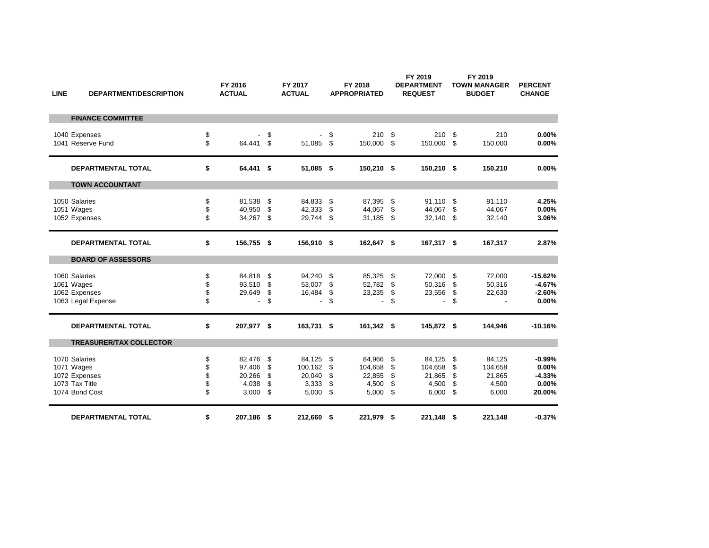| <b>LINE</b> | <b>DEPARTMENT/DESCRIPTION</b>                                                    |                            | FY 2016<br><b>ACTUAL</b>                     |                            | FY 2017<br><b>ACTUAL</b>                      |                            | FY 2018<br><b>APPROPRIATED</b>                |                            | FY 2019<br><b>DEPARTMENT</b><br><b>REQUEST</b> |                               | FY 2019<br><b>TOWN MANAGER</b><br><b>BUDGET</b> | <b>PERCENT</b><br><b>CHANGE</b>                  |
|-------------|----------------------------------------------------------------------------------|----------------------------|----------------------------------------------|----------------------------|-----------------------------------------------|----------------------------|-----------------------------------------------|----------------------------|------------------------------------------------|-------------------------------|-------------------------------------------------|--------------------------------------------------|
|             | <b>FINANCE COMMITTEE</b>                                                         |                            |                                              |                            |                                               |                            |                                               |                            |                                                |                               |                                                 |                                                  |
|             | 1040 Expenses<br>1041 Reserve Fund                                               | \$<br>\$                   | 64,441 \$                                    | \$                         | 51,085                                        | \$<br>\$                   | 210<br>150,000                                | \$<br>\$                   | 210<br>150,000 \$                              | \$                            | 210<br>150,000                                  | 0.00%<br>0.00%                                   |
|             | <b>DEPARTMENTAL TOTAL</b>                                                        | \$                         | 64,441 \$                                    |                            | 51,085                                        | \$                         | 150,210 \$                                    |                            | 150,210 \$                                     |                               | 150,210                                         | 0.00%                                            |
|             | <b>TOWN ACCOUNTANT</b>                                                           |                            |                                              |                            |                                               |                            |                                               |                            |                                                |                               |                                                 |                                                  |
|             | 1050 Salaries<br>1051 Wages<br>1052 Expenses                                     | \$<br>\$<br>\$             | 81,538<br>40,950<br>34,267                   | \$<br>\$<br>\$             | 84,833<br>42,333<br>29,744                    | \$<br>\$<br>\$             | 87,395<br>44,067<br>31,185                    | \$<br>\$<br>\$             | 91,110 \$<br>44,067<br>32,140 \$               | \$                            | 91,110<br>44,067<br>32,140                      | 4.25%<br>0.00%<br>3.06%                          |
|             | <b>DEPARTMENTAL TOTAL</b>                                                        | \$                         | 156,755 \$                                   |                            | 156,910                                       | \$                         | 162,647 \$                                    |                            | 167,317 \$                                     |                               | 167,317                                         | 2.87%                                            |
|             | <b>BOARD OF ASSESSORS</b>                                                        |                            |                                              |                            |                                               |                            |                                               |                            |                                                |                               |                                                 |                                                  |
|             | 1060 Salaries<br>1061 Wages<br>1062 Expenses<br>1063 Legal Expense               | \$<br>\$<br>\$<br>\$       | 84,818<br>93,510<br>29,649                   | \$<br>\$<br>\$<br>\$       | 94,240<br>53,007<br>16,484<br>$\blacksquare$  | \$<br>\$<br>\$<br>\$       | 85,325<br>52,782<br>23,235<br>$\blacksquare$  | \$<br>\$<br>\$<br>\$       | 72,000<br>50,316<br>23,556<br>$\blacksquare$   | - \$<br>\$<br>\$<br>\$        | 72,000<br>50,316<br>22,630                      | $-15.62%$<br>$-4.67%$<br>$-2.60%$<br>$0.00\%$    |
|             | <b>DEPARTMENTAL TOTAL</b>                                                        | \$                         | 207,977 \$                                   |                            | 163,731                                       | -\$                        | 161,342 \$                                    |                            | 145,872 \$                                     |                               | 144,946                                         | $-10.16%$                                        |
|             | <b>TREASURER/TAX COLLECTOR</b>                                                   |                            |                                              |                            |                                               |                            |                                               |                            |                                                |                               |                                                 |                                                  |
|             | 1070 Salaries<br>1071 Wages<br>1072 Expenses<br>1073 Tax Title<br>1074 Bond Cost | \$<br>\$<br>\$<br>\$<br>\$ | 82,476<br>97,406<br>20,266<br>4,038<br>3,000 | \$<br>\$<br>\$<br>\$<br>\$ | 84,125<br>100,162<br>20,040<br>3,333<br>5,000 | \$<br>\$<br>\$<br>\$<br>\$ | 84,966<br>104,658<br>22,855<br>4,500<br>5,000 | \$<br>\$<br>\$<br>\$<br>\$ | 84,125<br>104,658<br>21,865<br>4,500<br>6,000  | - \$<br>-\$<br>\$<br>\$<br>\$ | 84,125<br>104,658<br>21,865<br>4,500<br>6,000   | $-0.99%$<br>0.00%<br>$-4.33%$<br>0.00%<br>20.00% |
|             | <b>DEPARTMENTAL TOTAL</b>                                                        | \$                         | 207,186 \$                                   |                            | 212,660                                       | \$                         | 221,979                                       | \$                         | 221,148 \$                                     |                               | 221,148                                         | $-0.37%$                                         |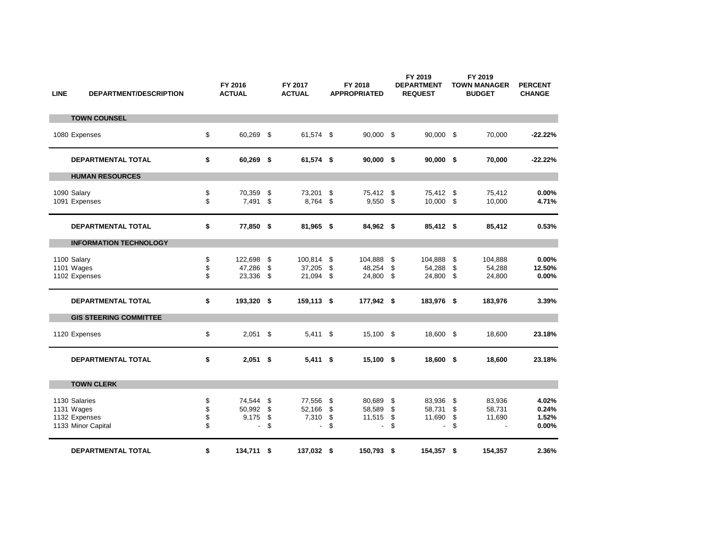| <b>LINE</b> | <b>DEPARTMENT/DESCRIPTION</b>                                      |                      | FY 2016<br><b>ACTUAL</b>                       |                | FY 2017<br><b>ACTUAL</b>                    |                        | FY 2018<br><b>APPROPRIATED</b>               |                                  | FY 2019<br><b>DEPARTMENT</b><br><b>REQUEST</b> |                        | FY 2019<br><b>TOWN MANAGER</b><br><b>BUDGET</b> | <b>PERCENT</b><br><b>CHANGE</b>  |
|-------------|--------------------------------------------------------------------|----------------------|------------------------------------------------|----------------|---------------------------------------------|------------------------|----------------------------------------------|----------------------------------|------------------------------------------------|------------------------|-------------------------------------------------|----------------------------------|
|             | <b>TOWN COUNSEL</b>                                                |                      |                                                |                |                                             |                        |                                              |                                  |                                                |                        |                                                 |                                  |
|             | 1080 Expenses                                                      | \$                   | 60,269 \$                                      |                | 61.574 \$                                   |                        | 90,000 \$                                    |                                  | 90,000 \$                                      |                        | 70,000                                          | $-22.22%$                        |
|             | DEPARTMENTAL TOTAL                                                 | \$                   | 60,269 \$                                      |                | 61,574 \$                                   |                        | $90,000$ \$                                  |                                  | $90,000$ \$                                    |                        | 70,000                                          | $-22.22%$                        |
|             | <b>HUMAN RESOURCES</b>                                             |                      |                                                |                |                                             |                        |                                              |                                  |                                                |                        |                                                 |                                  |
|             | 1090 Salary<br>1091 Expenses                                       | \$<br>\$             | 70,359<br>7,491                                | \$<br>\$       | 73,201<br>8,764                             | \$<br>\$               | 75,412 \$<br>9,550                           | -\$                              | 75,412 \$<br>10,000 \$                         |                        | 75,412<br>10,000                                | 0.00%<br>4.71%                   |
|             | <b>DEPARTMENTAL TOTAL</b>                                          | \$                   | 77,850 \$                                      |                | 81,965 \$                                   |                        | 84,962 \$                                    |                                  | 85,412 \$                                      |                        | 85,412                                          | 0.53%                            |
|             | <b>INFORMATION TECHNOLOGY</b>                                      |                      |                                                |                |                                             |                        |                                              |                                  |                                                |                        |                                                 |                                  |
|             | 1100 Salary<br>1101 Wages<br>1102 Expenses                         | \$<br>\$<br>\$       | 122,698<br>47,286<br>23,336 \$                 | \$<br>\$       | 100,814<br>37,205<br>21,094                 | \$<br>\$<br>\$         | 104,888<br>48,254<br>24,800                  | \$<br>\$<br>\$                   | 104,888<br>54,288<br>24,800 \$                 | \$<br>\$               | 104,888<br>54,288<br>24,800                     | 0.00%<br>12.50%<br>0.00%         |
|             | <b>DEPARTMENTAL TOTAL</b>                                          | \$                   | 193,320 \$                                     |                | 159,113 \$                                  |                        | 177,942 \$                                   |                                  | 183,976 \$                                     |                        | 183,976                                         | 3.39%                            |
|             | <b>GIS STEERING COMMITTEE</b>                                      |                      |                                                |                |                                             |                        |                                              |                                  |                                                |                        |                                                 |                                  |
|             | 1120 Expenses                                                      | \$                   | $2,051$ \$                                     |                | $5,411$ \$                                  |                        | 15,100 \$                                    |                                  | 18,600 \$                                      |                        | 18,600                                          | 23.18%                           |
|             | DEPARTMENTAL TOTAL                                                 | \$                   | $2,051$ \$                                     |                | $5,411$ \$                                  |                        | 15,100 \$                                    |                                  | 18,600 \$                                      |                        | 18,600                                          | 23.18%                           |
|             | <b>TOWN CLERK</b>                                                  |                      |                                                |                |                                             |                        |                                              |                                  |                                                |                        |                                                 |                                  |
|             | 1130 Salaries<br>1131 Wages<br>1132 Expenses<br>1133 Minor Capital | \$<br>\$<br>\$<br>\$ | 74,544<br>50,992 \$<br>9,175<br>$\blacksquare$ | \$<br>\$<br>\$ | 77,556<br>52,166<br>7,310<br>$\blacksquare$ | - \$<br>\$<br>\$<br>\$ | 80,689<br>58,589<br>11,515<br>$\blacksquare$ | -\$<br>\$<br>$\sqrt[6]{2}$<br>\$ | 83,936<br>58,731<br>11,690<br>$\blacksquare$   | - \$<br>\$<br>\$<br>\$ | 83,936<br>58,731<br>11,690                      | 4.02%<br>0.24%<br>1.52%<br>0.00% |
|             | <b>DEPARTMENTAL TOTAL</b>                                          | \$                   | 134,711 \$                                     |                | 137,032 \$                                  |                        | 150,793 \$                                   |                                  | 154,357 \$                                     |                        | 154,357                                         | 2.36%                            |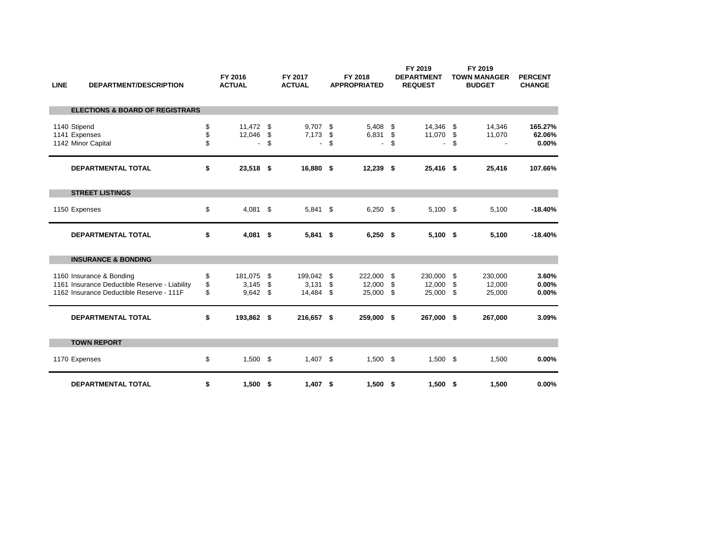| <b>LINE</b>  | <b>DEPARTMENT/DESCRIPTION</b>                                                                                         |                | FY 2016<br><b>ACTUAL</b>              |          | FY 2017<br><b>ACTUAL</b>                   |                | FY 2018<br><b>APPROPRIATED</b>             |                   | FY 2019<br><b>DEPARTMENT</b><br><b>REQUEST</b> |          | FY 2019<br><b>TOWN MANAGER</b><br><b>BUDGET</b> | <b>PERCENT</b><br><b>CHANGE</b> |
|--------------|-----------------------------------------------------------------------------------------------------------------------|----------------|---------------------------------------|----------|--------------------------------------------|----------------|--------------------------------------------|-------------------|------------------------------------------------|----------|-------------------------------------------------|---------------------------------|
|              | <b>ELECTIONS &amp; BOARD OF REGISTRARS</b>                                                                            |                |                                       |          |                                            |                |                                            |                   |                                                |          |                                                 |                                 |
| 1140 Stipend | 1141 Expenses<br>1142 Minor Capital                                                                                   | \$<br>\$<br>\$ | 11,472 \$<br>12,046<br>$\overline{a}$ | \$<br>\$ | 9,707<br>7,173<br>$\overline{\phantom{0}}$ | \$<br>\$<br>\$ | 5,408<br>6,831<br>$\overline{\phantom{a}}$ | - \$<br>-\$<br>\$ | 14,346 \$<br>11,070<br>$\overline{a}$          | \$<br>\$ | 14,346<br>11,070                                | 165.27%<br>62.06%<br>0.00%      |
|              | <b>DEPARTMENTAL TOTAL</b>                                                                                             | \$             | 23,518 \$                             |          | 16,880 \$                                  |                | $12,239$ \$                                |                   | 25,416 \$                                      |          | 25,416                                          | 107.66%                         |
|              | <b>STREET LISTINGS</b>                                                                                                |                |                                       |          |                                            |                |                                            |                   |                                                |          |                                                 |                                 |
|              | 1150 Expenses                                                                                                         | \$             | $4,081$ \$                            |          | $5,841$ \$                                 |                | $6,250$ \$                                 |                   | $5,100$ \$                                     |          | 5,100                                           | $-18.40%$                       |
|              | <b>DEPARTMENTAL TOTAL</b>                                                                                             | \$             | $4,081$ \$                            |          | $5,841$ \$                                 |                | $6,250$ \$                                 |                   | $5,100$ \$                                     |          | 5,100                                           | $-18.40%$                       |
|              | <b>INSURANCE &amp; BONDING</b>                                                                                        |                |                                       |          |                                            |                |                                            |                   |                                                |          |                                                 |                                 |
|              | 1160 Insurance & Bonding<br>1161 Insurance Deductible Reserve - Liability<br>1162 Insurance Deductible Reserve - 111F | \$<br>\$<br>\$ | 181,075<br>3,145<br>$9,642$ \$        | \$<br>\$ | 199,042<br>3,131<br>14,484                 | \$<br>\$<br>\$ | 222,000<br>12,000<br>25,000 \$             | -\$<br>-\$        | 230,000 \$<br>12,000 \$<br>25,000 \$           |          | 230,000<br>12,000<br>25,000                     | 3.60%<br>0.00%<br>0.00%         |
|              | <b>DEPARTMENTAL TOTAL</b>                                                                                             | \$             | 193,862 \$                            |          | 216,657 \$                                 |                | 259,000 \$                                 |                   | 267,000 \$                                     |          | 267,000                                         | 3.09%                           |
|              | <b>TOWN REPORT</b>                                                                                                    |                |                                       |          |                                            |                |                                            |                   |                                                |          |                                                 |                                 |
|              | 1170 Expenses                                                                                                         | \$             | $1,500$ \$                            |          | $1,407$ \$                                 |                | $1,500$ \$                                 |                   | $1,500$ \$                                     |          | 1,500                                           | 0.00%                           |
|              | <b>DEPARTMENTAL TOTAL</b>                                                                                             | \$             | $1,500$ \$                            |          | 1,407                                      | \$             | $1,500$ \$                                 |                   | $1,500$ \$                                     |          | 1,500                                           | 0.00%                           |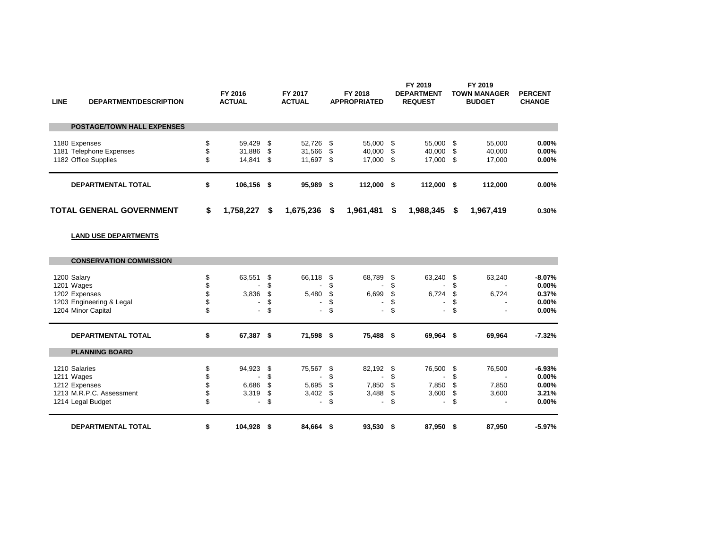| <b>LINE</b>   | <b>DEPARTMENT/DESCRIPTION</b>                   | FY 2016<br><b>ACTUAL</b>            |            | FY 2017<br><b>ACTUAL</b>      |         | FY 2018<br><b>APPROPRIATED</b>   |      | FY 2019<br><b>DEPARTMENT</b><br><b>REQUEST</b> |    | FY 2019<br><b>TOWN MANAGER</b><br><b>BUDGET</b> | <b>PERCENT</b><br><b>CHANGE</b> |
|---------------|-------------------------------------------------|-------------------------------------|------------|-------------------------------|---------|----------------------------------|------|------------------------------------------------|----|-------------------------------------------------|---------------------------------|
|               | <b>POSTAGE/TOWN HALL EXPENSES</b>               |                                     |            |                               |         |                                  |      |                                                |    |                                                 |                                 |
| 1180 Expenses | 1181 Telephone Expenses<br>1182 Office Supplies | \$<br>59,429 \$<br>31.886<br>14,841 | -S<br>- \$ | 52,726 \$<br>31.566<br>11,697 | -S<br>S | 55,000 \$<br>40,000<br>17,000 \$ | - \$ | 55,000 \$<br>40.000 \$<br>17,000 \$            |    | 55,000<br>40,000<br>17,000                      | 0.00%<br>0.00%<br>0.00%         |
|               | <b>DEPARTMENTAL TOTAL</b>                       | \$<br>106,156 \$                    |            | 95,989                        | - \$    | 112,000 \$                       |      | 112,000 \$                                     |    | 112.000                                         | 0.00%                           |
|               | <b>TOTAL GENERAL GOVERNMENT</b>                 | \$<br>1,758,227                     | \$         | 1,675,236                     | S       | 1,961,481                        | \$   | 1,988,345                                      | S. | 1,967,419                                       | 0.30%                           |

## **LAND USE DEPARTMENTS**

| <b>CONSERVATION COMMISSION</b> |                          |   |                          |      |                          |      |            |      |                          |          |
|--------------------------------|--------------------------|---|--------------------------|------|--------------------------|------|------------|------|--------------------------|----------|
|                                |                          |   |                          |      |                          |      |            |      |                          |          |
| 1200 Salary                    | 63,551                   |   | 66,118 \$                |      | 68,789                   |      | 63,240 \$  |      | 63,240                   | $-8.07%$ |
| 1201 Wages                     |                          |   | ٠                        |      |                          |      |            |      |                          | 0.00%    |
| 1202 Expenses                  | 3,836                    |   | 5,480                    |      | 6,699                    |      | $6,724$ \$ |      | 6,724                    | 0.37%    |
| 1203 Engineering & Legal       |                          |   | -                        |      | $\overline{\phantom{a}}$ |      | -          |      | $\overline{\phantom{a}}$ | 0.00%    |
| 1204 Minor Capital             | $\sim$                   |   | $\overline{\phantom{a}}$ |      | $\overline{\phantom{a}}$ | \$   |            | - \$ | ۰.                       | 0.00%    |
| <b>DEPARTMENTAL TOTAL</b>      | \$<br>67,387 \$          |   | 71,598 \$                |      | 75,488 \$                |      | 69,964 \$  |      | 69,964                   | $-7.32%$ |
| <b>PLANNING BOARD</b>          |                          |   |                          |      |                          |      |            |      |                          |          |
| 1210 Salaries                  | 94,923                   |   | 75,567 \$                |      | 82,192 \$                |      | 76,500 \$  |      | 76,500                   | $-6.93%$ |
| 1211 Wages                     |                          |   | $\blacksquare$           |      |                          |      | ٠          |      |                          | 0.00%    |
| 1212 Expenses                  | 6,686                    |   | 5,695                    |      | 7,850                    |      | 7,850      |      | 7,850                    | 0.00%    |
| 1213 M.R.P.C. Assessment       | 3,319                    |   | 3,402                    | - \$ | 3,488                    | - \$ | $3,600$ \$ |      | 3,600                    | 3.21%    |
| 1214 Legal Budget              | $\overline{\phantom{a}}$ | ъ | $\overline{\phantom{a}}$ | \$   | $\overline{\phantom{a}}$ | \$   | ۰          | \$   |                          | 0.00%    |
| <b>DEPARTMENTAL TOTAL</b>      | \$<br>104,928 \$         |   | 84,664 \$                |      | 93,530 \$                |      | 87,950 \$  |      | 87,950                   | $-5.97%$ |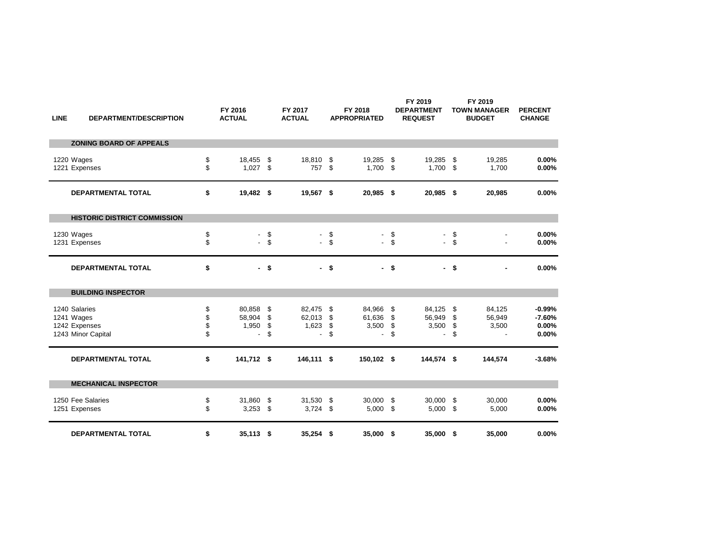| <b>LINE</b> | <b>DEPARTMENT/DESCRIPTION</b>                                      |                      | FY 2016<br><b>ACTUAL</b>  |                      | FY 2017<br><b>ACTUAL</b>                    |                      | FY 2018<br><b>APPROPRIATED</b>                        |                      | FY 2019<br><b>DEPARTMENT</b><br><b>REQUEST</b> |                      | FY 2019<br><b>TOWN MANAGER</b><br><b>BUDGET</b> | <b>PERCENT</b><br><b>CHANGE</b>        |
|-------------|--------------------------------------------------------------------|----------------------|---------------------------|----------------------|---------------------------------------------|----------------------|-------------------------------------------------------|----------------------|------------------------------------------------|----------------------|-------------------------------------------------|----------------------------------------|
|             | <b>ZONING BOARD OF APPEALS</b>                                     |                      |                           |                      |                                             |                      |                                                       |                      |                                                |                      |                                                 |                                        |
|             | 1220 Wages<br>1221 Expenses                                        | \$<br>\$             | 18,455<br>1,027           | \$<br>\$             | 18,810<br>757                               | \$<br>\$             | 19,285<br>1,700                                       | \$<br>\$             | 19,285<br>1,700                                | - \$<br>- \$         | 19,285<br>1,700                                 | 0.00%<br>0.00%                         |
|             | <b>DEPARTMENTAL TOTAL</b>                                          | \$                   | 19,482 \$                 |                      | 19,567 \$                                   |                      | 20,985 \$                                             |                      | 20,985 \$                                      |                      | 20,985                                          | 0.00%                                  |
|             | <b>HISTORIC DISTRICT COMMISSION</b>                                |                      |                           |                      |                                             |                      |                                                       |                      |                                                |                      |                                                 |                                        |
|             | 1230 Wages<br>1231 Expenses                                        | \$<br>\$             | $\overline{\phantom{a}}$  | \$<br>$-$ \$         | ÷.<br>$\overline{a}$                        | \$<br>\$             | $\overline{\phantom{a}}$<br>$\mathbf{r}$              | \$<br>\$             | $\overline{a}$                                 | \$<br>\$             |                                                 | 0.00%<br>0.00%                         |
|             | DEPARTMENTAL TOTAL                                                 | \$                   |                           | - \$                 |                                             | - \$                 |                                                       | - \$                 |                                                | - \$                 |                                                 | 0.00%                                  |
|             | <b>BUILDING INSPECTOR</b>                                          |                      |                           |                      |                                             |                      |                                                       |                      |                                                |                      |                                                 |                                        |
|             | 1240 Salaries<br>1241 Wages<br>1242 Expenses<br>1243 Minor Capital | \$<br>\$<br>\$<br>\$ | 80,858<br>58,904<br>1,950 | \$<br>\$<br>\$<br>\$ | 82,475<br>62,013<br>1,623<br>$\overline{a}$ | \$<br>\$<br>\$<br>\$ | 84,966<br>61,636<br>3,500<br>$\overline{\phantom{a}}$ | \$<br>\$<br>\$<br>\$ | 84,125<br>56,949<br>3,500                      | \$<br>\$<br>\$<br>\$ | 84,125<br>56,949<br>3,500                       | $-0.99%$<br>$-7.60%$<br>0.00%<br>0.00% |
|             | <b>DEPARTMENTAL TOTAL</b>                                          | \$                   | 141,712 \$                |                      | 146,111 \$                                  |                      | 150,102 \$                                            |                      | 144,574 \$                                     |                      | 144,574                                         | $-3.68%$                               |
|             | <b>MECHANICAL INSPECTOR</b>                                        |                      |                           |                      |                                             |                      |                                                       |                      |                                                |                      |                                                 |                                        |
|             | 1250 Fee Salaries<br>1251 Expenses                                 | \$<br>\$             | 31,860<br>3,253           | \$<br>\$             | 31,530<br>$3,724$ \$                        | \$                   | 30,000<br>5,000                                       | \$<br>\$             | 30,000<br>5,000                                | \$<br>\$             | 30,000<br>5,000                                 | 0.00%<br>0.00%                         |
|             | <b>DEPARTMENTAL TOTAL</b>                                          | \$                   | $35,113$ \$               |                      | $35,254$ \$                                 |                      | 35,000 \$                                             |                      | 35,000 \$                                      |                      | 35,000                                          | 0.00%                                  |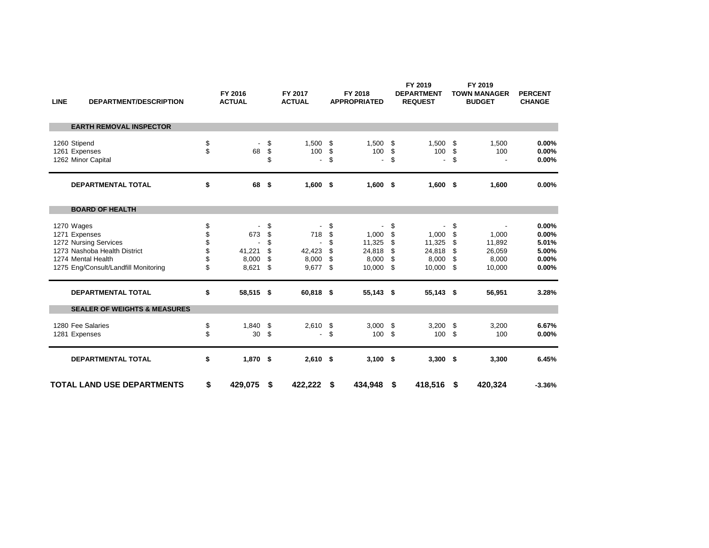| <b>LINE</b> | <b>DEPARTMENT/DESCRIPTION</b>                                                                                                                      |                                  | FY 2016<br><b>ACTUAL</b>        |                                  | FY 2017<br><b>ACTUAL</b>                          |                                  | FY 2018<br><b>APPROPRIATED</b>               |                                  | FY 2019<br><b>DEPARTMENT</b><br><b>REQUEST</b> |                                  | FY 2019<br><b>TOWN MANAGER</b><br><b>BUDGET</b> | <b>PERCENT</b><br><b>CHANGE</b>                    |
|-------------|----------------------------------------------------------------------------------------------------------------------------------------------------|----------------------------------|---------------------------------|----------------------------------|---------------------------------------------------|----------------------------------|----------------------------------------------|----------------------------------|------------------------------------------------|----------------------------------|-------------------------------------------------|----------------------------------------------------|
|             | <b>EARTH REMOVAL INSPECTOR</b>                                                                                                                     |                                  |                                 |                                  |                                                   |                                  |                                              |                                  |                                                |                                  |                                                 |                                                    |
|             | 1260 Stipend<br>1261 Expenses<br>1262 Minor Capital                                                                                                | \$<br>\$                         | 68                              | \$<br>\$<br>\$                   | 1,500<br>100<br>$\blacksquare$                    | \$<br>\$<br>\$                   | 1,500<br>100<br>$\overline{\phantom{a}}$     | \$<br>\$<br>\$                   | 1,500<br>100<br>$\overline{\phantom{a}}$       | -\$<br>\$<br>\$                  | 1,500<br>100                                    | 0.00%<br>0.00%<br>0.00%                            |
|             | <b>DEPARTMENTAL TOTAL</b>                                                                                                                          | \$                               | 68                              | -\$                              | $1,600$ \$                                        |                                  | $1,600$ \$                                   |                                  | $1,600$ \$                                     |                                  | 1,600                                           | 0.00%                                              |
|             | <b>BOARD OF HEALTH</b>                                                                                                                             |                                  |                                 |                                  |                                                   |                                  |                                              |                                  |                                                |                                  |                                                 |                                                    |
|             | 1270 Wages<br>1271 Expenses<br>1272 Nursing Services<br>1273 Nashoba Health District<br>1274 Mental Health<br>1275 Eng/Consult/Landfill Monitoring | \$<br>\$<br>\$<br>\$<br>\$<br>\$ | 673<br>41,221<br>8,000<br>8,621 | \$<br>\$<br>\$<br>\$<br>\$<br>\$ | 718<br>$\blacksquare$<br>42,423<br>8,000<br>9,677 | \$<br>\$<br>\$<br>\$<br>\$<br>\$ | 1,000<br>11,325<br>24,818<br>8,000<br>10,000 | \$<br>\$<br>\$<br>\$<br>\$<br>\$ | 1,000<br>11,325<br>24,818<br>8,000<br>10,000   | \$<br>\$<br>\$<br>\$<br>S<br>-\$ | 1,000<br>11,892<br>26,059<br>8,000<br>10,000    | 0.00%<br>0.00%<br>5.01%<br>5.00%<br>0.00%<br>0.00% |
|             | <b>DEPARTMENTAL TOTAL</b>                                                                                                                          | \$                               | 58,515 \$                       |                                  | 60,818 \$                                         |                                  | 55,143 \$                                    |                                  | 55,143 \$                                      |                                  | 56,951                                          | 3.28%                                              |
|             | <b>SEALER OF WEIGHTS &amp; MEASURES</b>                                                                                                            |                                  |                                 |                                  |                                                   |                                  |                                              |                                  |                                                |                                  |                                                 |                                                    |
|             | 1280 Fee Salaries<br>1281 Expenses                                                                                                                 | \$<br>\$                         | 1,840<br>30                     | \$<br>\$                         | 2,610<br>٠                                        | \$<br>\$                         | 3,000<br>100                                 | \$<br>\$                         | 3,200<br>100                                   | - \$<br>-\$                      | 3,200<br>100                                    | 6.67%<br>0.00%                                     |
|             | <b>DEPARTMENTAL TOTAL</b>                                                                                                                          | \$                               | $1,870$ \$                      |                                  | $2,610$ \$                                        |                                  | $3,100$ \$                                   |                                  | $3,300$ \$                                     |                                  | 3,300                                           | 6.45%                                              |
|             | <b>TOTAL LAND USE DEPARTMENTS</b>                                                                                                                  | \$                               | 429,075                         | \$                               | 422,222                                           | \$                               | 434,948                                      | \$                               | 418,516                                        | - \$                             | 420,324                                         | $-3.36%$                                           |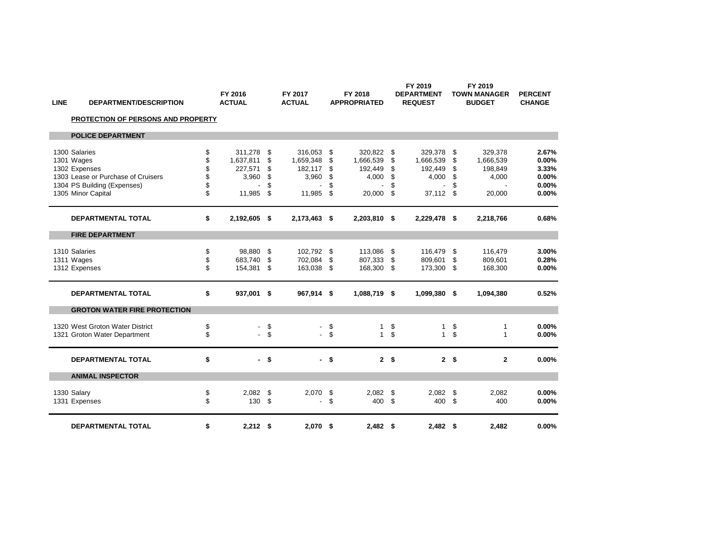| <b>LINE</b><br><b>DEPARTMENT/DESCRIPTION</b> | FY 2016<br><b>ACTUAL</b> |        | FY 2017<br><b>ACTUAL</b> |                    | FY 2018<br><b>APPROPRIATED</b> |                | FY 2019<br><b>DEPARTMENT</b><br><b>REQUEST</b> |                | FY 2019<br><b>TOWN MANAGER</b><br><b>BUDGET</b> | <b>PERCENT</b><br><b>CHANGE</b> |
|----------------------------------------------|--------------------------|--------|--------------------------|--------------------|--------------------------------|----------------|------------------------------------------------|----------------|-------------------------------------------------|---------------------------------|
| PROTECTION OF PERSONS AND PROPERTY           |                          |        |                          |                    |                                |                |                                                |                |                                                 |                                 |
| <b>POLICE DEPARTMENT</b>                     |                          |        |                          |                    |                                |                |                                                |                |                                                 |                                 |
| 1300 Salaries                                | \$<br>311.278            | \$     | 316,053                  | \$                 | 320.822 \$                     |                | 329.378                                        | \$             | 329.378                                         | 2.67%                           |
| 1301 Wages                                   | \$<br>1,637,811          | \$     | 1,659,348                | \$                 | 1,666,539 \$                   |                | 1,666,539                                      | \$             | 1,666,539                                       | 0.00%                           |
| 1302 Expenses                                | 227,571                  | \$     | 182,117 \$               |                    | 192,449 \$                     |                | 192,449                                        | \$             | 198,849                                         | 3.33%                           |
| 1303 Lease or Purchase of Cruisers           | 3,960                    | \$     | 3,960                    | \$                 | 4,000                          | \$             | 4,000                                          | -\$            | 4,000                                           | 0.00%                           |
| 1304 PS Building (Expenses)                  |                          | \$     |                          | \$                 |                                | \$             |                                                | \$             |                                                 | 0.00%                           |
| 1305 Minor Capital                           | \$<br>11,985             | \$     | 11,985                   | \$                 | 20,000                         | \$             | 37,112 \$                                      |                | 20,000                                          | 0.00%                           |
| <b>DEPARTMENTAL TOTAL</b>                    | \$<br>2,192,605 \$       |        | 2,173,463 \$             |                    | 2,203,810 \$                   |                | 2,229,478 \$                                   |                | 2,218,766                                       | 0.68%                           |
| <b>FIRE DEPARTMENT</b>                       |                          |        |                          |                    |                                |                |                                                |                |                                                 |                                 |
| 1310 Salaries                                | \$<br>98,880             | \$     | 102,792 \$               |                    | 113.086                        | - \$           | 116,479                                        | \$             | 116,479                                         | 3.00%                           |
| 1311 Wages                                   | \$<br>683,740            | \$     | 702,084 \$               |                    | 807,333 \$                     |                | 809,601                                        | \$             | 809,601                                         | 0.28%                           |
| 1312 Expenses                                | \$<br>154,381            | -\$    | 163,038 \$               |                    | 168,300 \$                     |                | 173,300 \$                                     |                | 168,300                                         | 0.00%                           |
| <b>DEPARTMENTAL TOTAL</b>                    | \$<br>937,001 \$         |        | 967,914 \$               |                    | 1,088,719 \$                   |                | 1,099,380 \$                                   |                | 1,094,380                                       | 0.52%                           |
| <b>GROTON WATER FIRE PROTECTION</b>          |                          |        |                          |                    |                                |                |                                                |                |                                                 |                                 |
| 1320 West Groton Water District              | \$<br>$\blacksquare$     | \$     | $\overline{\phantom{a}}$ | \$                 | 1                              | \$             | $\mathbf{1}$                                   | \$             | 1                                               | 0.00%                           |
| 1321 Groton Water Department                 | \$                       | $-$ \$ | $\sim$                   | $\mathbf{\hat{s}}$ | $\mathbf{1}$                   | \$             | 1                                              | \$             | $\mathbf{1}$                                    | 0.00%                           |
| <b>DEPARTMENTAL TOTAL</b>                    | \$                       | $-5$   |                          | $-$ \$             |                                | 2 <sub>5</sub> |                                                | 2 <sup>5</sup> | $\mathbf{2}$                                    | 0.00%                           |
| <b>ANIMAL INSPECTOR</b>                      |                          |        |                          |                    |                                |                |                                                |                |                                                 |                                 |
| 1330 Salary                                  | \$<br>2,082              | \$     | 2,070 \$                 |                    | $2,082$ \$                     |                | 2,082                                          | \$             | 2,082                                           | 0.00%                           |
| 1331 Expenses                                | \$<br>130 \$             |        |                          | \$                 | 400 \$                         |                | 400 \$                                         |                | 400                                             | 0.00%                           |
| <b>DEPARTMENTAL TOTAL</b>                    | \$<br>$2,212$ \$         |        | $2,070$ \$               |                    | $2,482$ \$                     |                | $2,482$ \$                                     |                | 2,482                                           | 0.00%                           |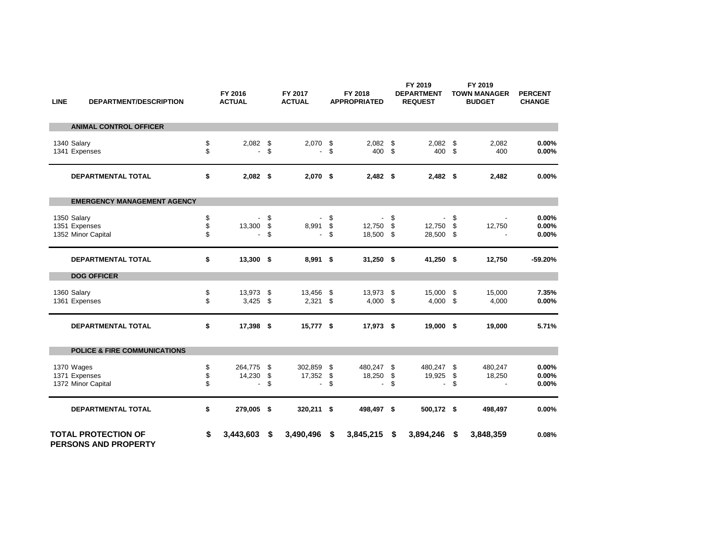| <b>LINE</b> | <b>DEPARTMENT/DESCRIPTION</b>                      |                | FY 2016<br><b>ACTUAL</b>                      |                | FY 2017<br><b>ACTUAL</b>          |                | FY 2018<br><b>APPROPRIATED</b>                |                | FY 2019<br><b>DEPARTMENT</b><br><b>REQUEST</b> |                 | FY 2019<br><b>TOWN MANAGER</b><br><b>BUDGET</b> | <b>PERCENT</b><br><b>CHANGE</b> |
|-------------|----------------------------------------------------|----------------|-----------------------------------------------|----------------|-----------------------------------|----------------|-----------------------------------------------|----------------|------------------------------------------------|-----------------|-------------------------------------------------|---------------------------------|
|             | <b>ANIMAL CONTROL OFFICER</b>                      |                |                                               |                |                                   |                |                                               |                |                                                |                 |                                                 |                                 |
|             | 1340 Salary<br>1341 Expenses                       | \$<br>\$       | $2,082$ \$                                    | \$             | 2,070                             | \$<br>\$       | 2,082<br>400                                  | -\$<br>\$      | $2,082$ \$<br>400                              | \$              | 2,082<br>400                                    | 0.00%<br>0.00%                  |
|             | <b>DEPARTMENTAL TOTAL</b>                          | \$             | $2,082$ \$                                    |                | $2,070$ \$                        |                | $2,482$ \$                                    |                | $2,482$ \$                                     |                 | 2,482                                           | 0.00%                           |
|             | <b>EMERGENCY MANAGEMENT AGENCY</b>                 |                |                                               |                |                                   |                |                                               |                |                                                |                 |                                                 |                                 |
|             | 1350 Salary<br>1351 Expenses<br>1352 Minor Capital | \$<br>\$<br>\$ | 13,300                                        | \$<br>\$<br>\$ | 8,991<br>$\overline{\phantom{a}}$ | \$<br>\$<br>\$ | 12,750<br>18,500 \$                           | \$<br>\$       | 12,750<br>28,500 \$                            | \$<br>\$        | 12,750                                          | 0.00%<br>0.00%<br>0.00%         |
|             | DEPARTMENTAL TOTAL                                 | \$             | 13,300 \$                                     |                | 8,991 \$                          |                | $31,250$ \$                                   |                | 41,250 \$                                      |                 | 12,750                                          | $-59.20%$                       |
|             | <b>DOG OFFICER</b>                                 |                |                                               |                |                                   |                |                                               |                |                                                |                 |                                                 |                                 |
|             | 1360 Salary<br>1361 Expenses                       | \$<br>\$       | 13,973<br>3,425                               | \$<br>\$       | 13,456<br>2,321                   | \$<br>\$       | 13,973<br>$4,000$ \$                          | \$             | 15,000<br>$4,000$ \$                           | - \$            | 15,000<br>4,000                                 | 7.35%<br>0.00%                  |
|             | <b>DEPARTMENTAL TOTAL</b>                          | \$             | 17,398 \$                                     |                | 15,777 \$                         |                | 17,973 \$                                     |                | 19,000 \$                                      |                 | 19,000                                          | 5.71%                           |
|             | <b>POLICE &amp; FIRE COMMUNICATIONS</b>            |                |                                               |                |                                   |                |                                               |                |                                                |                 |                                                 |                                 |
|             | 1370 Wages<br>1371 Expenses<br>1372 Minor Capital  | \$<br>\$<br>\$ | 264,775<br>14,230<br>$\overline{\phantom{a}}$ | \$<br>\$<br>\$ | 302,859<br>17,352<br>L.           | \$<br>\$<br>\$ | 480,247<br>18,250<br>$\overline{\phantom{a}}$ | \$<br>\$<br>\$ | 480,247<br>19,925<br>$\overline{\phantom{a}}$  | -\$<br>\$<br>\$ | 480,247<br>18,250                               | 0.00%<br>0.00%<br>0.00%         |
|             | DEPARTMENTAL TOTAL                                 | \$             | 279,005 \$                                    |                | 320,211 \$                        |                | 498,497 \$                                    |                | 500,172 \$                                     |                 | 498,497                                         | 0.00%                           |
|             | <b>TOTAL PROTECTION OF</b><br>PERSONS AND PROPERTY | \$             | 3,443,603                                     | \$             | 3,490,496                         | \$             | 3,845,215                                     | -\$            | 3,894,246                                      | - \$            | 3,848,359                                       | 0.08%                           |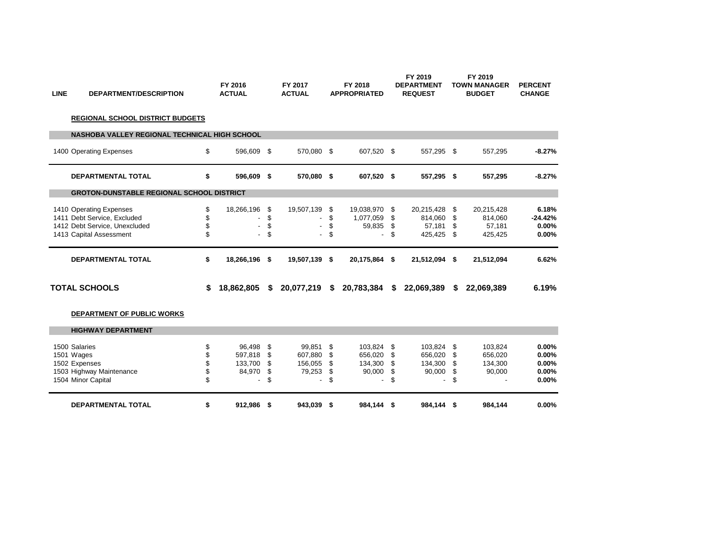| <b>LINE</b> | DEPARTMENT/DESCRIPTION                           |    | FY 2016<br><b>ACTUAL</b> | FY 2017<br><b>ACTUAL</b>       |          | FY 2018<br><b>APPROPRIATED</b> |     | FY 2019<br><b>DEPARTMENT</b><br><b>REQUEST</b> |    | FY 2019<br><b>TOWN MANAGER</b><br><b>BUDGET</b> | <b>PERCENT</b><br><b>CHANGE</b> |
|-------------|--------------------------------------------------|----|--------------------------|--------------------------------|----------|--------------------------------|-----|------------------------------------------------|----|-------------------------------------------------|---------------------------------|
|             | <b>REGIONAL SCHOOL DISTRICT BUDGETS</b>          |    |                          |                                |          |                                |     |                                                |    |                                                 |                                 |
|             | NASHOBA VALLEY REGIONAL TECHNICAL HIGH SCHOOL    |    |                          |                                |          |                                |     |                                                |    |                                                 |                                 |
|             | 1400 Operating Expenses                          | \$ | 596,609 \$               | 570,080 \$                     |          | 607,520 \$                     |     | 557,295 \$                                     |    | 557,295                                         | $-8.27%$                        |
|             | DEPARTMENTAL TOTAL                               | \$ | 596,609 \$               | 570,080 \$                     |          | 607,520 \$                     |     | 557,295 \$                                     |    | 557,295                                         | $-8.27%$                        |
|             | <b>GROTON-DUNSTABLE REGIONAL SCHOOL DISTRICT</b> |    |                          |                                |          |                                |     |                                                |    |                                                 |                                 |
|             | 1410 Operating Expenses                          | \$ | 18,266,196 \$            | 19,507,139 \$                  |          | 19,038,970 \$                  |     | 20,215,428                                     | \$ | 20,215,428                                      | 6.18%                           |
|             | 1411 Debt Service, Excluded                      | \$ |                          | \$<br>$\overline{\phantom{a}}$ | \$       | 1,077,059                      | -\$ | 814,060                                        | \$ | 814,060                                         | $-24.42%$                       |
|             | 1412 Debt Service, Unexcluded                    | \$ | $\blacksquare$           | \$<br>$\overline{\phantom{a}}$ | \$       | 59,835                         | \$  | 57,181                                         | \$ | 57,181                                          | 0.00%                           |
|             | 1413 Capital Assessment                          | \$ | $\blacksquare$           | \$<br>$\blacksquare$           | \$       |                                | \$  | 425,425 \$                                     |    | 425,425                                         | 0.00%                           |
|             | <b>DEPARTMENTAL TOTAL</b>                        | \$ | 18,266,196 \$            | 19,507,139 \$                  |          | 20,175,864 \$                  |     | 21,512,094 \$                                  |    | 21,512,094                                      | 6.62%                           |
|             |                                                  |    |                          |                                |          |                                |     |                                                |    |                                                 |                                 |
|             | <b>TOTAL SCHOOLS</b>                             | S. | 18,862,805 \$            | 20,077,219 \$                  |          | 20,783,384                     | S.  | 22,069,389                                     | S  | 22,069,389                                      | 6.19%                           |
|             | DEPARTMENT OF PUBLIC WORKS                       |    |                          |                                |          |                                |     |                                                |    |                                                 |                                 |
|             | <b>HIGHWAY DEPARTMENT</b>                        |    |                          |                                |          |                                |     |                                                |    |                                                 |                                 |
|             | 1500 Salaries                                    | \$ |                          | 99,851                         |          | 103.824                        | -\$ | 103.824                                        | \$ | 103.824                                         | 0.00%                           |
|             | 1501 Wages                                       | \$ | 96,498 \$<br>597,818     | \$<br>607,880                  | \$<br>\$ | 656,020                        | \$  | 656,020                                        | \$ | 656,020                                         | 0.00%                           |
|             | 1502 Expenses                                    | \$ | 133,700                  | \$<br>156,055                  | \$       | 134,300                        | \$  | 134,300                                        | \$ | 134,300                                         | 0.00%                           |
|             | 1503 Highway Maintenance                         | \$ | 84,970                   | \$<br>79,253                   | \$       | 90,000                         | \$  | 90,000                                         | \$ | 90,000                                          |                                 |
|             | 1504 Minor Capital                               | \$ |                          | \$<br>$\overline{a}$           | \$       |                                | \$  |                                                | \$ |                                                 | 0.00%<br>0.00%                  |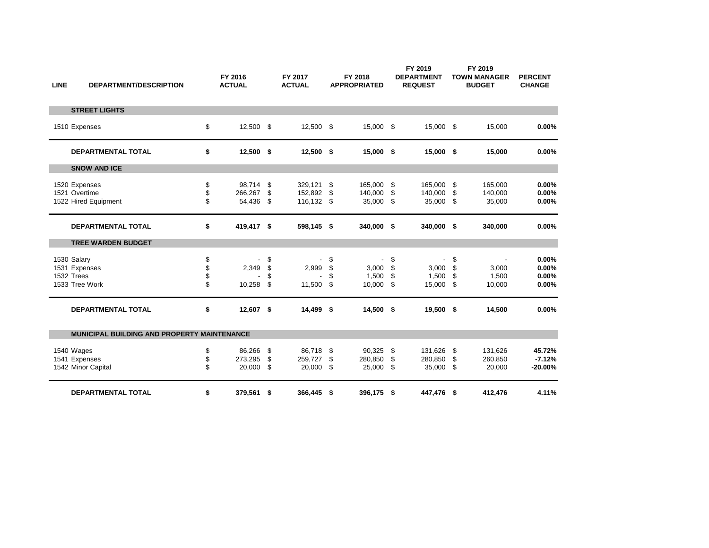| <b>LINE</b> | <b>DEPARTMENT/DESCRIPTION</b>                                |                      | FY 2016<br><b>ACTUAL</b>       |                      | FY 2017<br><b>ACTUAL</b>          |                      | FY 2018<br><b>APPROPRIATED</b> |                       | FY 2019<br><b>DEPARTMENT</b><br><b>REQUEST</b> |                  | FY 2019<br><b>TOWN MANAGER</b><br><b>BUDGET</b>      | <b>PERCENT</b><br><b>CHANGE</b>  |
|-------------|--------------------------------------------------------------|----------------------|--------------------------------|----------------------|-----------------------------------|----------------------|--------------------------------|-----------------------|------------------------------------------------|------------------|------------------------------------------------------|----------------------------------|
|             | <b>STREET LIGHTS</b>                                         |                      |                                |                      |                                   |                      |                                |                       |                                                |                  |                                                      |                                  |
|             | 1510 Expenses                                                | \$                   | 12,500 \$                      |                      | 12,500                            | \$                   | 15,000 \$                      |                       | 15,000 \$                                      |                  | 15,000                                               | 0.00%                            |
|             | <b>DEPARTMENTAL TOTAL</b>                                    | \$                   | $12,500$ \$                    |                      | $12,500$ \$                       |                      | 15,000 \$                      |                       | 15,000 \$                                      |                  | 15,000                                               | 0.00%                            |
|             | <b>SNOW AND ICE</b>                                          |                      |                                |                      |                                   |                      |                                |                       |                                                |                  |                                                      |                                  |
|             | 1520 Expenses<br>1521 Overtime<br>1522 Hired Equipment       | \$<br>\$<br>\$       | 98,714<br>266,267<br>54,436 \$ | -\$<br>\$            | 329,121<br>152.892<br>116,132     | \$<br>\$<br>\$       | 165,000<br>140,000<br>35,000   | \$<br>\$<br>\$        | 165,000<br>140,000<br>35,000 \$                | -\$<br>-\$       | 165,000<br>140,000<br>35,000                         | 0.00%<br>0.00%<br>0.00%          |
|             | <b>DEPARTMENTAL TOTAL</b>                                    | \$                   | 419,417 \$                     |                      | 598,145 \$                        |                      | 340,000 \$                     |                       | 340,000 \$                                     |                  | 340,000                                              | 0.00%                            |
|             | <b>TREE WARDEN BUDGET</b>                                    |                      |                                |                      |                                   |                      |                                |                       |                                                |                  |                                                      |                                  |
|             | 1530 Salary<br>1531 Expenses<br>1532 Trees<br>1533 Tree Work | \$<br>\$<br>\$<br>\$ | 2,349<br>10,258                | \$<br>\$<br>\$<br>\$ | $\blacksquare$<br>2,999<br>11,500 | \$<br>\$<br>\$<br>\$ | 3,000<br>1,500<br>10,000       | \$<br>\$<br>\$<br>-\$ | $\blacksquare$<br>3,000<br>1,500<br>15,000 \$  | \$<br>\$<br>\$   | $\overline{\phantom{a}}$<br>3,000<br>1,500<br>10,000 | 0.00%<br>0.00%<br>0.00%<br>0.00% |
|             | <b>DEPARTMENTAL TOTAL</b>                                    | \$                   | 12,607 \$                      |                      | 14,499 \$                         |                      | 14,500 \$                      |                       | 19,500 \$                                      |                  | 14,500                                               | 0.00%                            |
|             | <b>MUNICIPAL BUILDING AND PROPERTY MAINTENANCE</b>           |                      |                                |                      |                                   |                      |                                |                       |                                                |                  |                                                      |                                  |
|             | 1540 Wages<br>1541 Expenses<br>1542 Minor Capital            | \$<br>\$<br>\$       | 86,266<br>273,295<br>20,000    | \$<br>\$<br>\$       | 86,718<br>259,727<br>20,000       | \$<br>\$<br>\$       | 90,325<br>280,850<br>25,000    | - \$<br>\$<br>\$      | 131,626<br>280,850<br>35,000                   | - \$<br>\$<br>\$ | 131,626<br>260,850<br>20,000                         | 45.72%<br>$-7.12%$<br>$-20.00%$  |
|             | <b>DEPARTMENTAL TOTAL</b>                                    | \$                   | 379,561 \$                     |                      | 366,445                           | \$                   | 396,175 \$                     |                       | 447,476 \$                                     |                  | 412,476                                              | 4.11%                            |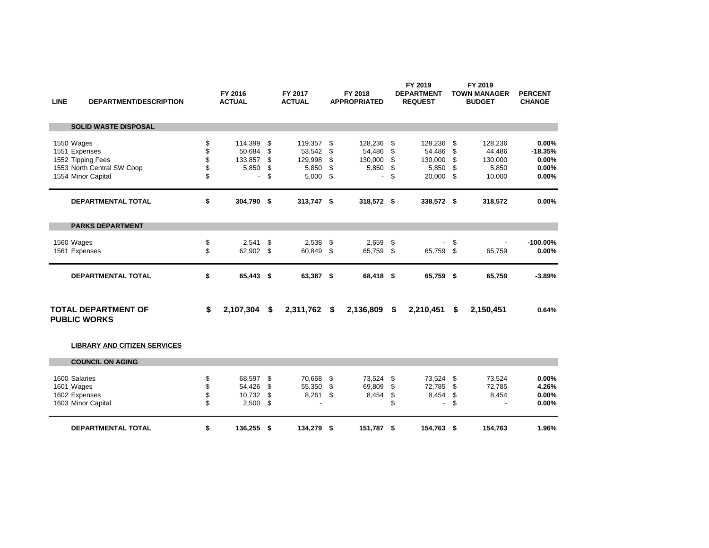| <b>LINE</b> | <b>DEPARTMENT/DESCRIPTION</b>                                                                        |                            | FY 2016<br><b>ACTUAL</b>                   |                            | FY 2017<br><b>ACTUAL</b>                              |                            | FY 2018<br><b>APPROPRIATED</b>             |                            | FY 2019<br><b>DEPARTMENT</b><br><b>REQUEST</b>  |                            | FY 2019<br><b>TOWN MANAGER</b><br><b>BUDGET</b> | <b>PERCENT</b><br><b>CHANGE</b>               |
|-------------|------------------------------------------------------------------------------------------------------|----------------------------|--------------------------------------------|----------------------------|-------------------------------------------------------|----------------------------|--------------------------------------------|----------------------------|-------------------------------------------------|----------------------------|-------------------------------------------------|-----------------------------------------------|
|             | <b>SOLID WASTE DISPOSAL</b>                                                                          |                            |                                            |                            |                                                       |                            |                                            |                            |                                                 |                            |                                                 |                                               |
|             | 1550 Wages<br>1551 Expenses<br>1552 Tipping Fees<br>1553 North Central SW Coop<br>1554 Minor Capital | \$<br>\$<br>\$<br>\$<br>\$ | 114,399<br>50,684<br>133,857<br>5,850<br>٠ | \$<br>\$<br>\$<br>\$<br>\$ | 119,357<br>53,542<br>129,998<br>5,850<br>5,000        | \$<br>\$<br>\$<br>\$<br>\$ | 128,236<br>54,486<br>130,000<br>5,850<br>٠ | \$<br>\$<br>\$<br>\$<br>\$ | 128,236<br>54,486<br>130,000<br>5,850<br>20,000 | \$<br>\$<br>\$<br>\$<br>\$ | 128,236<br>44,486<br>130,000<br>5,850<br>10,000 | 0.00%<br>$-18.35%$<br>0.00%<br>0.00%<br>0.00% |
|             | <b>DEPARTMENTAL TOTAL</b>                                                                            | \$                         | 304,790 \$                                 |                            | 313,747 \$                                            |                            | 318,572 \$                                 |                            | 338,572 \$                                      |                            | 318,572                                         | 0.00%                                         |
|             | <b>PARKS DEPARTMENT</b>                                                                              |                            |                                            |                            |                                                       |                            |                                            |                            |                                                 |                            |                                                 |                                               |
|             | 1560 Wages<br>1561 Expenses                                                                          | \$<br>\$                   | 2,541<br>62,902 \$                         | \$                         | 2,538<br>60,849                                       | \$<br>\$                   | 2,659<br>65,759 \$                         | \$                         | 65,759 \$                                       | \$                         | 65,759                                          | $-100.00%$<br>0.00%                           |
|             | <b>DEPARTMENTAL TOTAL</b>                                                                            | \$                         | 65,443 \$                                  |                            | 63,387 \$                                             |                            | 68,418 \$                                  |                            | 65,759 \$                                       |                            | 65,759                                          | $-3.89%$                                      |
|             | <b>TOTAL DEPARTMENT OF</b><br><b>PUBLIC WORKS</b>                                                    | \$                         | 2,107,304                                  | \$                         | 2,311,762                                             | \$                         | 2,136,809                                  | \$                         | 2,210,451                                       | S                          | 2,150,451                                       | 0.64%                                         |
|             | <b>LIBRARY AND CITIZEN SERVICES</b>                                                                  |                            |                                            |                            |                                                       |                            |                                            |                            |                                                 |                            |                                                 |                                               |
|             | <b>COUNCIL ON AGING</b>                                                                              |                            |                                            |                            |                                                       |                            |                                            |                            |                                                 |                            |                                                 |                                               |
|             | 1600 Salaries<br>1601 Wages<br>1602 Expenses<br>1603 Minor Capital                                   | \$<br>\$<br>\$<br>\$       | 68,597<br>54,426<br>10,732<br>2,500        | \$<br>\$<br>\$<br>\$       | 70,668<br>55,350<br>8,261<br>$\overline{\phantom{0}}$ | \$<br>\$<br>\$             | 73,524<br>69,809<br>8,454                  | \$<br>\$<br>\$<br>\$       | 73,524<br>72,785<br>8,454<br>٠                  | \$<br>\$<br>\$<br>\$       | 73,524<br>72,785<br>8,454                       | 0.00%<br>4.26%<br>0.00%<br>0.00%              |

**DEPARTMENTAL TOTAL \$ 136,255 \$ 134,279 \$ 151,787 \$ 154,763 \$ 154,763 1.96%**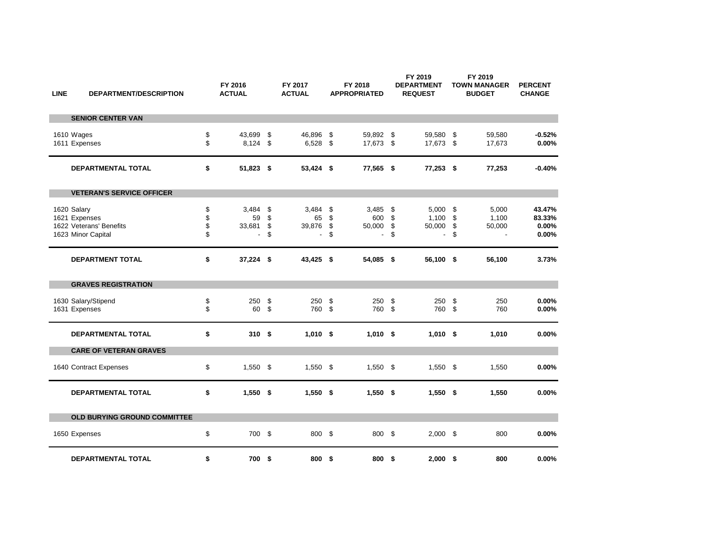| <b>LINE</b> | DEPARTMENT/DESCRIPTION                                                        |                      | FY 2016<br><b>ACTUAL</b>                          |                      | FY 2017<br><b>ACTUAL</b>                |                      | FY 2018<br><b>APPROPRIATED</b>           |                      | FY 2019<br><b>DEPARTMENT</b><br><b>REQUEST</b> |                       | FY 2019<br><b>TOWN MANAGER</b><br><b>BUDGET</b> | <b>PERCENT</b><br><b>CHANGE</b>    |
|-------------|-------------------------------------------------------------------------------|----------------------|---------------------------------------------------|----------------------|-----------------------------------------|----------------------|------------------------------------------|----------------------|------------------------------------------------|-----------------------|-------------------------------------------------|------------------------------------|
|             | <b>SENIOR CENTER VAN</b>                                                      |                      |                                                   |                      |                                         |                      |                                          |                      |                                                |                       |                                                 |                                    |
|             | 1610 Wages<br>1611 Expenses                                                   | \$<br>\$             | 43,699<br>8,124                                   | \$<br>\$             | 46.896<br>6,528                         | \$<br>\$             | 59,892 \$<br>17,673 \$                   |                      | 59,580 \$<br>17,673 \$                         |                       | 59.580<br>17,673                                | $-0.52%$<br>0.00%                  |
|             | <b>DEPARTMENTAL TOTAL</b>                                                     | \$                   | 51,823 \$                                         |                      | 53,424 \$                               |                      | 77,565 \$                                |                      | 77,253 \$                                      |                       | 77,253                                          | $-0.40%$                           |
|             | <b>VETERAN'S SERVICE OFFICER</b>                                              |                      |                                                   |                      |                                         |                      |                                          |                      |                                                |                       |                                                 |                                    |
|             | 1620 Salary<br>1621 Expenses<br>1622 Veterans' Benefits<br>1623 Minor Capital | \$<br>\$<br>\$<br>\$ | 3,484<br>59<br>33,681<br>$\overline{\phantom{a}}$ | \$<br>\$<br>\$<br>\$ | 3,484<br>65<br>39,876<br>$\overline{a}$ | \$<br>\$<br>\$<br>\$ | 3,485<br>600<br>50,000<br>$\blacksquare$ | \$<br>\$<br>\$<br>\$ | 5,000<br>1,100<br>50,000<br>$\overline{a}$     | -\$<br>\$<br>\$<br>\$ | 5,000<br>1,100<br>50,000                        | 43.47%<br>83.33%<br>0.00%<br>0.00% |
|             | DEPARTMENT TOTAL                                                              | \$                   | $37,224$ \$                                       |                      | 43,425 \$                               |                      | 54,085 \$                                |                      | 56,100 \$                                      |                       | 56,100                                          | 3.73%                              |
|             | <b>GRAVES REGISTRATION</b>                                                    |                      |                                                   |                      |                                         |                      |                                          |                      |                                                |                       |                                                 |                                    |
|             | 1630 Salary/Stipend<br>1631 Expenses                                          | \$<br>\$             | 250<br>60                                         | \$<br>\$             | 250<br>760                              | \$<br>\$             | 250<br>760                               | \$<br>\$             | 250<br>760                                     | \$<br>\$              | 250<br>760                                      | 0.00%<br>0.00%                     |
|             | <b>DEPARTMENTAL TOTAL</b>                                                     | \$                   | 310 \$                                            |                      | $1,010$ \$                              |                      | $1,010$ \$                               |                      | $1,010$ \$                                     |                       | 1,010                                           | 0.00%                              |
|             | <b>CARE OF VETERAN GRAVES</b>                                                 |                      |                                                   |                      |                                         |                      |                                          |                      |                                                |                       |                                                 |                                    |
|             | 1640 Contract Expenses                                                        | \$                   | 1,550                                             | \$                   | $1,550$ \$                              |                      | $1,550$ \$                               |                      | $1,550$ \$                                     |                       | 1,550                                           | 0.00%                              |
|             | <b>DEPARTMENTAL TOTAL</b>                                                     | \$                   | $1,550$ \$                                        |                      | $1,550$ \$                              |                      | $1,550$ \$                               |                      | $1,550$ \$                                     |                       | 1,550                                           | 0.00%                              |
|             | OLD BURYING GROUND COMMITTEE                                                  |                      |                                                   |                      |                                         |                      |                                          |                      |                                                |                       |                                                 |                                    |
|             | 1650 Expenses                                                                 | \$                   | 700                                               | \$                   | 800                                     | - \$                 | 800 \$                                   |                      | $2,000$ \$                                     |                       | 800                                             | 0.00%                              |
|             | <b>DEPARTMENTAL TOTAL</b>                                                     | \$                   | 700                                               | -\$                  | 800                                     | \$                   | 800 \$                                   |                      | $2,000$ \$                                     |                       | 800                                             | 0.00%                              |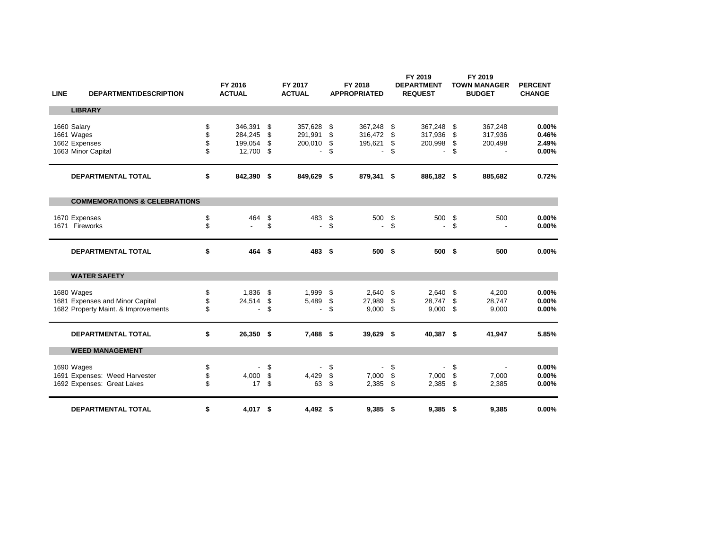| <b>LINE</b> | <b>DEPARTMENT/DESCRIPTION</b>            |          | FY 2016<br><b>ACTUAL</b> |          | FY 2017<br><b>ACTUAL</b> |          | FY 2018<br><b>APPROPRIATED</b> |          | FY 2019<br><b>DEPARTMENT</b><br><b>REQUEST</b> |          | FY 2019<br><b>TOWN MANAGER</b><br><b>BUDGET</b> | <b>PERCENT</b><br><b>CHANGE</b> |
|-------------|------------------------------------------|----------|--------------------------|----------|--------------------------|----------|--------------------------------|----------|------------------------------------------------|----------|-------------------------------------------------|---------------------------------|
|             | <b>LIBRARY</b>                           |          |                          |          |                          |          |                                |          |                                                |          |                                                 |                                 |
|             | 1660 Salary                              | \$       | 346,391                  | \$       | 357,628                  | \$       | 367,248                        | -\$      | 367,248                                        | - \$     | 367,248                                         | 0.00%                           |
|             | 1661 Wages                               | \$       | 284,245                  | \$       | 291,991                  | \$       | 316,472                        | \$       | 317,936                                        | \$       | 317,936                                         | 0.46%                           |
|             | 1662 Expenses                            | \$       | 199,054                  | \$       | 200,010                  | \$       | 195,621                        | \$       | 200,998                                        | \$       | 200,498                                         | 2.49%                           |
|             | 1663 Minor Capital                       | \$       | 12,700                   | \$       | L,                       | \$       |                                | \$       | $\overline{a}$                                 | \$       |                                                 | 0.00%                           |
|             | <b>DEPARTMENTAL TOTAL</b>                | \$       | 842,390 \$               |          | 849,629 \$               |          | 879,341 \$                     |          | 886,182 \$                                     |          | 885,682                                         | 0.72%                           |
|             | <b>COMMEMORATIONS &amp; CELEBRATIONS</b> |          |                          |          |                          |          |                                |          |                                                |          |                                                 |                                 |
|             |                                          |          |                          |          |                          |          |                                |          |                                                |          |                                                 |                                 |
| 1671        | 1670 Expenses<br>Fireworks               | \$<br>\$ | 464                      | \$<br>\$ | 483<br>$\blacksquare$    | \$<br>\$ | 500<br>$\blacksquare$          | \$<br>\$ | 500<br>$\overline{\phantom{a}}$                | \$<br>\$ | 500                                             | 0.00%<br>0.00%                  |
|             |                                          |          |                          |          |                          |          |                                |          |                                                |          |                                                 |                                 |
|             | <b>DEPARTMENTAL TOTAL</b>                | \$       | 464 \$                   |          | 483 \$                   |          | 500 \$                         |          | 500 \$                                         |          | 500                                             | 0.00%                           |
|             | <b>WATER SAFETY</b>                      |          |                          |          |                          |          |                                |          |                                                |          |                                                 |                                 |
|             | 1680 Wages                               | \$       | 1,836                    | \$       | 1,999                    | \$       | 2.640                          | \$       | 2,640                                          | \$       | 4,200                                           | 0.00%                           |
|             | 1681 Expenses and Minor Capital          | \$       | 24,514                   | \$       | 5,489                    | \$       | 27,989                         | \$       | 28,747                                         | \$       | 28,747                                          | 0.00%                           |
|             | 1682 Property Maint. & Improvements      | \$       | $\overline{\phantom{a}}$ | \$       | $\overline{a}$           | \$       | 9,000                          | \$       | 9,000                                          | -\$      | 9,000                                           | 0.00%                           |
|             | <b>DEPARTMENTAL TOTAL</b>                | \$       | 26,350 \$                |          | 7,488 \$                 |          | 39,629 \$                      |          | 40,387 \$                                      |          | 41,947                                          | 5.85%                           |
|             |                                          |          |                          |          |                          |          |                                |          |                                                |          |                                                 |                                 |
|             | <b>WEED MANAGEMENT</b>                   |          |                          |          |                          |          |                                |          |                                                |          |                                                 |                                 |
|             | 1690 Wages                               | \$       |                          | \$       |                          | \$       |                                | \$       |                                                | \$       | $\overline{\phantom{a}}$                        | 0.00%                           |
|             | 1691 Expenses: Weed Harvester            | \$       | 4,000                    | \$       | 4,429                    | \$       | 7,000                          | \$       | 7,000                                          | \$       | 7,000                                           | 0.00%                           |
|             | 1692 Expenses: Great Lakes               | \$       | 17                       | \$       | 63                       | \$       | $2,385$ \$                     |          | $2,385$ \$                                     |          | 2,385                                           | 0.00%                           |
|             | <b>DEPARTMENTAL TOTAL</b>                | \$       | 4,017 \$                 |          | $4,492$ \$               |          | $9,385$ \$                     |          | $9,385$ \$                                     |          | 9,385                                           | 0.00%                           |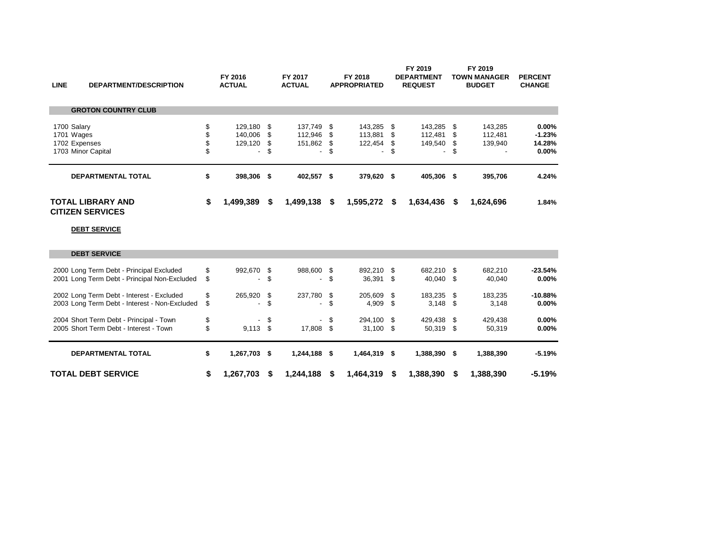| <b>LINE</b>   | <b>DEPARTMENT/DESCRIPTION</b>                       | FY 2016<br><b>ACTUAL</b> |      | FY 2017<br><b>ACTUAL</b> |      | FY 2018<br><b>APPROPRIATED</b> |      | FY 2019<br><b>DEPARTMENT</b><br><b>REQUEST</b> |      | FY 2019<br>TOWN MANAGER<br><b>BUDGET</b> | <b>PERCENT</b><br><b>CHANGE</b> |
|---------------|-----------------------------------------------------|--------------------------|------|--------------------------|------|--------------------------------|------|------------------------------------------------|------|------------------------------------------|---------------------------------|
|               | <b>GROTON COUNTRY CLUB</b>                          |                          |      |                          |      |                                |      |                                                |      |                                          |                                 |
| 1700 Salary   |                                                     | \$<br>129,180 \$         |      | 137.749                  | - \$ | 143,285 \$                     |      | 143,285 \$                                     |      | 143,285                                  | 0.00%                           |
| 1701 Wages    |                                                     | 140.006                  | - \$ | 112,946                  | - \$ | 113,881                        | - \$ | 112,481                                        | - \$ | 112,481                                  | $-1.23%$                        |
| 1702 Expenses |                                                     | 129,120                  | - \$ | 151,862                  | - \$ | 122,454                        |      | 149,540 \$                                     |      | 139,940                                  | 14.28%                          |
|               | 1703 Minor Capital                                  | . .                      | S    | $\overline{\phantom{a}}$ | S    | ۰.                             | \$   | $\overline{\phantom{a}}$                       | S    | $\overline{\phantom{a}}$                 | 0.00%                           |
|               | <b>DEPARTMENTAL TOTAL</b>                           | \$<br>398,306 \$         |      | 402,557 \$               |      | 379,620 \$                     |      | 405,306 \$                                     |      | 395,706                                  | 4.24%                           |
|               | <b>TOTAL LIBRARY AND</b><br><b>CITIZEN SERVICES</b> | \$<br>1,499,389          | S    | 1,499,138                | - \$ | 1,595,272 \$                   |      | $1,634,436$ \$                                 |      | 1,624,696                                | 1.84%                           |

## **DEBT SERVICE**

| <b>TOTAL DEBT SERVICE</b>                     | \$<br>1,267,703  | S    | 1,244,188  | S    | 1,464,319    | S  | 1.388.390    | S | 1,388,390 | $-5.19%$  |
|-----------------------------------------------|------------------|------|------------|------|--------------|----|--------------|---|-----------|-----------|
| <b>DEPARTMENTAL TOTAL</b>                     | \$<br>1,267,703  | - \$ | 1,244,188  | S.   | 1,464,319 \$ |    | 1.388.390 \$ |   | 1,388,390 | $-5.19%$  |
| 2005 Short Term Debt - Interest - Town        | \$<br>9.113      | - \$ | 17.808     | \$   | $31.100$ \$  |    | 50,319 \$    |   | 50,319    | $0.00\%$  |
| 2004 Short Term Debt - Principal - Town       | \$               | -S   |            | - \$ | 294.100 \$   |    | 429.438 \$   |   | 429,438   | $0.00\%$  |
| 2003 Long Term Debt - Interest - Non-Excluded |                  |      |            | \$.  | 4.909        |    | $3.148$ \$   |   | 3.148     | $0.00\%$  |
| 2002 Long Term Debt - Interest - Excluded     | \$<br>265.920 \$ |      | 237,780 \$ |      | 205.609      | -S | 183.235 \$   |   | 183.235   | $-10.88%$ |
| 2001 Long Term Debt - Principal Non-Excluded  |                  |      |            | \$.  | 36.391 \$    |    | 40.040 \$    |   | 40.040    | $0.00\%$  |
| 2000 Long Term Debt - Principal Excluded      | \$<br>992,670 \$ |      | 988,600 \$ |      | 892.210 \$   |    | 682.210 \$   |   | 682.210   | $-23.54%$ |